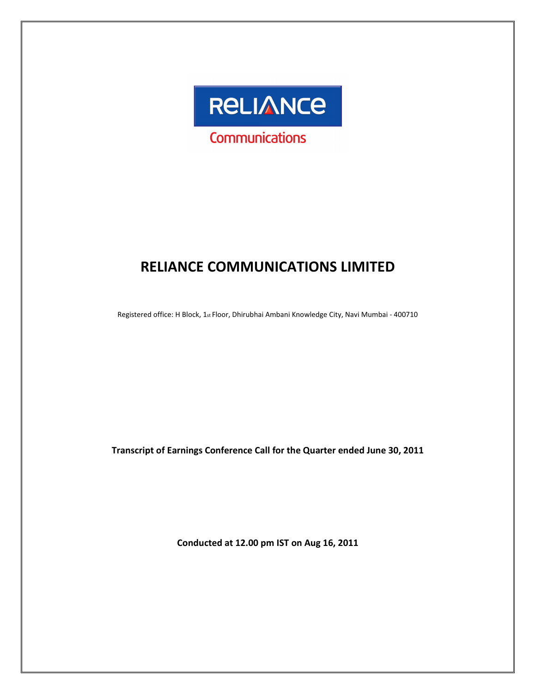

# RELIANCE COMMUNICATIONS LIMITED

Registered office: H Block, 1st Floor, Dhirubhai Ambani Knowledge City, Navi Mumbai - 400710

Transcript of Earnings Conference Call for the Quarter ended June 30, 2011

Conducted at 12.00 pm IST on Aug 16, 2011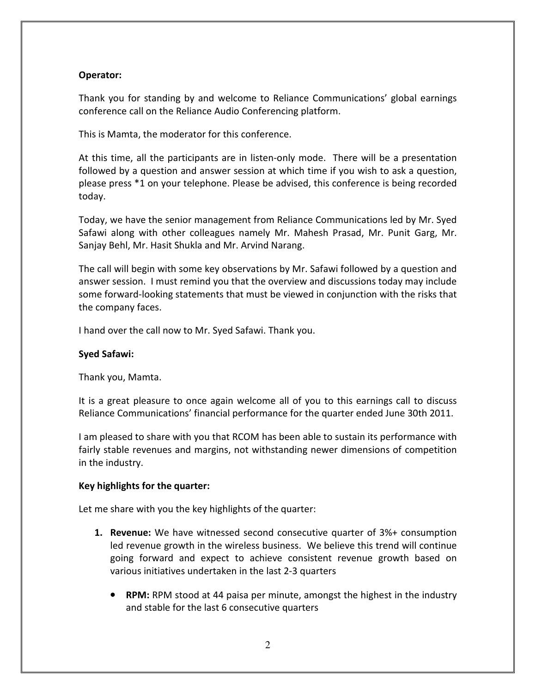# Operator:

Thank you for standing by and welcome to Reliance Communications' global earnings conference call on the Reliance Audio Conferencing platform.

This is Mamta, the moderator for this conference.

At this time, all the participants are in listen-only mode. There will be a presentation followed by a question and answer session at which time if you wish to ask a question, please press \*1 on your telephone. Please be advised, this conference is being recorded today.

Today, we have the senior management from Reliance Communications led by Mr. Syed Safawi along with other colleagues namely Mr. Mahesh Prasad, Mr. Punit Garg, Mr. Sanjay Behl, Mr. Hasit Shukla and Mr. Arvind Narang.

The call will begin with some key observations by Mr. Safawi followed by a question and answer session. I must remind you that the overview and discussions today may include some forward-looking statements that must be viewed in conjunction with the risks that the company faces.

I hand over the call now to Mr. Syed Safawi. Thank you.

#### Syed Safawi:

Thank you, Mamta.

It is a great pleasure to once again welcome all of you to this earnings call to discuss Reliance Communications' financial performance for the quarter ended June 30th 2011.

I am pleased to share with you that RCOM has been able to sustain its performance with fairly stable revenues and margins, not withstanding newer dimensions of competition in the industry.

#### Key highlights for the quarter:

Let me share with you the key highlights of the quarter:

- **1. Revenue:** We have witnessed second consecutive quarter of 3%+ consumption led revenue growth in the wireless business. We believe this trend will continue going forward and expect to achieve consistent revenue growth based on various initiatives undertaken in the last 2-3 quarters
	- RPM: RPM stood at 44 paisa per minute, amongst the highest in the industry and stable for the last 6 consecutive quarters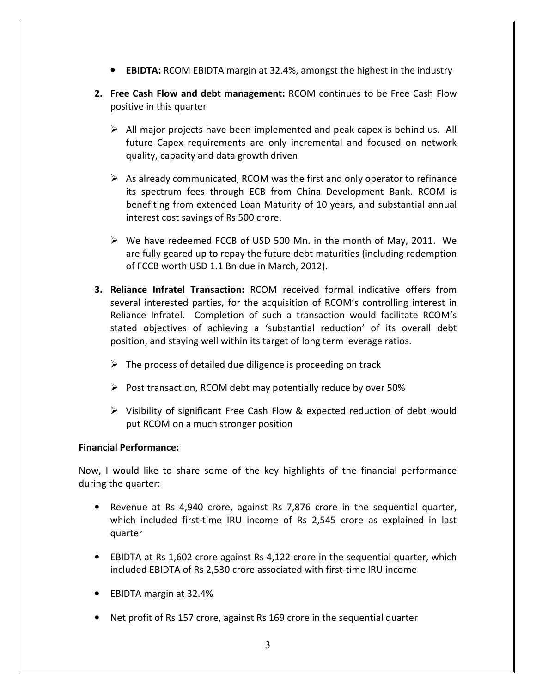- EBIDTA: RCOM EBIDTA margin at 32.4%, amongst the highest in the industry
- 2. Free Cash Flow and debt management: RCOM continues to be Free Cash Flow positive in this quarter
	- $\triangleright$  All major projects have been implemented and peak capex is behind us. All future Capex requirements are only incremental and focused on network quality, capacity and data growth driven
	- $\triangleright$  As already communicated, RCOM was the first and only operator to refinance its spectrum fees through ECB from China Development Bank. RCOM is benefiting from extended Loan Maturity of 10 years, and substantial annual interest cost savings of Rs 500 crore.
	- $\triangleright$  We have redeemed FCCB of USD 500 Mn. in the month of May, 2011. We are fully geared up to repay the future debt maturities (including redemption of FCCB worth USD 1.1 Bn due in March, 2012).
- 3. Reliance Infratel Transaction: RCOM received formal indicative offers from several interested parties, for the acquisition of RCOM's controlling interest in Reliance Infratel. Completion of such a transaction would facilitate RCOM's stated objectives of achieving a 'substantial reduction' of its overall debt position, and staying well within its target of long term leverage ratios.
	- $\triangleright$  The process of detailed due diligence is proceeding on track
	- $\triangleright$  Post transaction, RCOM debt may potentially reduce by over 50%
	- $\triangleright$  Visibility of significant Free Cash Flow & expected reduction of debt would put RCOM on a much stronger position

# Financial Performance:

Now, I would like to share some of the key highlights of the financial performance during the quarter:

- Revenue at Rs 4,940 crore, against Rs 7,876 crore in the sequential quarter, which included first-time IRU income of Rs 2,545 crore as explained in last quarter
- EBIDTA at Rs 1,602 crore against Rs 4,122 crore in the sequential quarter, which included EBIDTA of Rs 2,530 crore associated with first-time IRU income
- EBIDTA margin at 32.4%
- Net profit of Rs 157 crore, against Rs 169 crore in the sequential quarter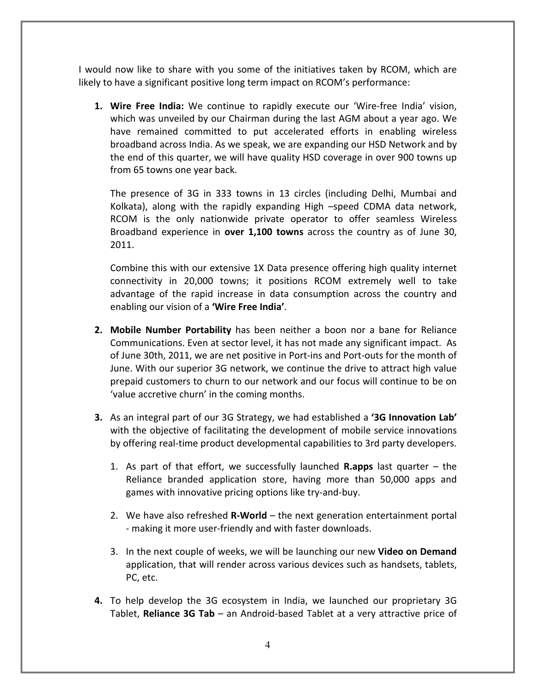I would now like to share with you some of the initiatives taken by RCOM, which are likely to have a significant positive long term impact on RCOM's performance:

1. Wire Free India: We continue to rapidly execute our 'Wire-free India' vision, which was unveiled by our Chairman during the last AGM about a year ago. We have remained committed to put accelerated efforts in enabling wireless broadband across India. As we speak, we are expanding our HSD Network and by the end of this quarter, we will have quality HSD coverage in over 900 towns up from 65 towns one year back.

The presence of 3G in 333 towns in 13 circles (including Delhi, Mumbai and Kolkata), along with the rapidly expanding High –speed CDMA data network, RCOM is the only nationwide private operator to offer seamless Wireless Broadband experience in **over 1,100 towns** across the country as of June 30, 2011.

Combine this with our extensive 1X Data presence offering high quality internet connectivity in 20,000 towns; it positions RCOM extremely well to take advantage of the rapid increase in data consumption across the country and enabling our vision of a 'Wire Free India'.

- 2. Mobile Number Portability has been neither a boon nor a bane for Reliance Communications. Even at sector level, it has not made any significant impact. As of June 30th, 2011, we are net positive in Port-ins and Port-outs for the month of June. With our superior 3G network, we continue the drive to attract high value prepaid customers to churn to our network and our focus will continue to be on 'value accretive churn' in the coming months.
- 3. As an integral part of our 3G Strategy, we had established a '3G Innovation Lab' with the objective of facilitating the development of mobile service innovations by offering real-time product developmental capabilities to 3rd party developers.
	- 1. As part of that effort, we successfully launched **R.apps** last quarter  $-$  the Reliance branded application store, having more than 50,000 apps and games with innovative pricing options like try-and-buy.
	- 2. We have also refreshed  $R\text{-}World$  the next generation entertainment portal - making it more user-friendly and with faster downloads.
	- 3. In the next couple of weeks, we will be launching our new **Video on Demand** application, that will render across various devices such as handsets, tablets, PC, etc.
- 4. To help develop the 3G ecosystem in India, we launched our proprietary 3G Tablet, Reliance 3G Tab – an Android-based Tablet at a very attractive price of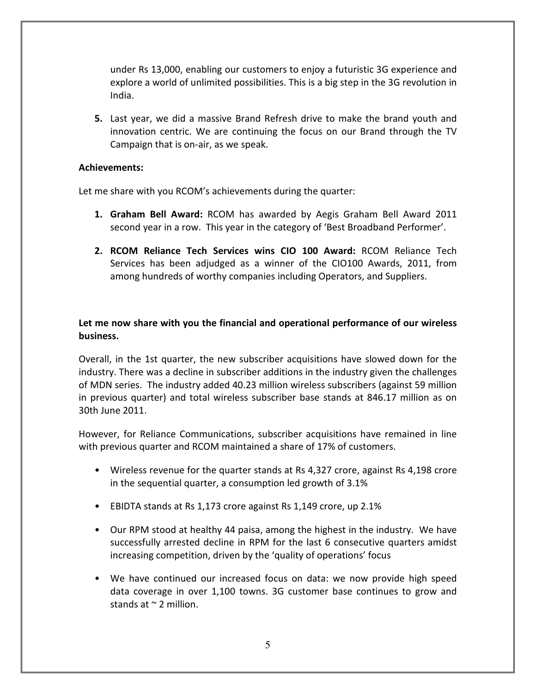under Rs 13,000, enabling our customers to enjoy a futuristic 3G experience and explore a world of unlimited possibilities. This is a big step in the 3G revolution in India.

5. Last year, we did a massive Brand Refresh drive to make the brand youth and innovation centric. We are continuing the focus on our Brand through the TV Campaign that is on-air, as we speak.

#### Achievements:

Let me share with you RCOM's achievements during the quarter:

- 1. Graham Bell Award: RCOM has awarded by Aegis Graham Bell Award 2011 second year in a row. This year in the category of 'Best Broadband Performer'.
- 2. RCOM Reliance Tech Services wins CIO 100 Award: RCOM Reliance Tech Services has been adjudged as a winner of the CIO100 Awards, 2011, from among hundreds of worthy companies including Operators, and Suppliers.

# Let me now share with you the financial and operational performance of our wireless business.

Overall, in the 1st quarter, the new subscriber acquisitions have slowed down for the industry. There was a decline in subscriber additions in the industry given the challenges of MDN series. The industry added 40.23 million wireless subscribers (against 59 million in previous quarter) and total wireless subscriber base stands at 846.17 million as on 30th June 2011.

However, for Reliance Communications, subscriber acquisitions have remained in line with previous quarter and RCOM maintained a share of 17% of customers.

- Wireless revenue for the quarter stands at Rs 4,327 crore, against Rs 4,198 crore in the sequential quarter, a consumption led growth of 3.1%
- EBIDTA stands at Rs 1,173 crore against Rs 1,149 crore, up 2.1%
- Our RPM stood at healthy 44 paisa, among the highest in the industry. We have successfully arrested decline in RPM for the last 6 consecutive quarters amidst increasing competition, driven by the 'quality of operations' focus
- We have continued our increased focus on data: we now provide high speed data coverage in over 1,100 towns. 3G customer base continues to grow and stands at  $\sim$  2 million.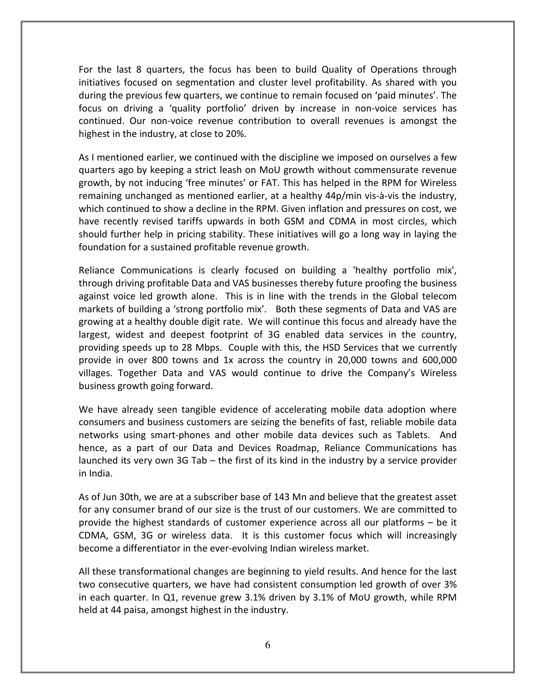For the last 8 quarters, the focus has been to build Quality of Operations through initiatives focused on segmentation and cluster level profitability. As shared with you during the previous few quarters, we continue to remain focused on 'paid minutes'. The focus on driving a 'quality portfolio' driven by increase in non-voice services has continued. Our non-voice revenue contribution to overall revenues is amongst the highest in the industry, at close to 20%.

As I mentioned earlier, we continued with the discipline we imposed on ourselves a few quarters ago by keeping a strict leash on MoU growth without commensurate revenue growth, by not inducing 'free minutes' or FAT. This has helped in the RPM for Wireless remaining unchanged as mentioned earlier, at a healthy 44p/min vis-à-vis the industry, which continued to show a decline in the RPM. Given inflation and pressures on cost, we have recently revised tariffs upwards in both GSM and CDMA in most circles, which should further help in pricing stability. These initiatives will go a long way in laying the foundation for a sustained profitable revenue growth.

Reliance Communications is clearly focused on building a 'healthy portfolio mix', through driving profitable Data and VAS businesses thereby future proofing the business against voice led growth alone. This is in line with the trends in the Global telecom markets of building a 'strong portfolio mix'. Both these segments of Data and VAS are growing at a healthy double digit rate. We will continue this focus and already have the largest, widest and deepest footprint of 3G enabled data services in the country, providing speeds up to 28 Mbps. Couple with this, the HSD Services that we currently provide in over 800 towns and 1x across the country in 20,000 towns and 600,000 villages. Together Data and VAS would continue to drive the Company's Wireless business growth going forward.

We have already seen tangible evidence of accelerating mobile data adoption where consumers and business customers are seizing the benefits of fast, reliable mobile data networks using smart-phones and other mobile data devices such as Tablets. And hence, as a part of our Data and Devices Roadmap, Reliance Communications has launched its very own 3G Tab – the first of its kind in the industry by a service provider in India.

As of Jun 30th, we are at a subscriber base of 143 Mn and believe that the greatest asset for any consumer brand of our size is the trust of our customers. We are committed to provide the highest standards of customer experience across all our platforms – be it CDMA, GSM, 3G or wireless data. It is this customer focus which will increasingly become a differentiator in the ever-evolving Indian wireless market.

All these transformational changes are beginning to yield results. And hence for the last two consecutive quarters, we have had consistent consumption led growth of over 3% in each quarter. In Q1, revenue grew 3.1% driven by 3.1% of MoU growth, while RPM held at 44 paisa, amongst highest in the industry.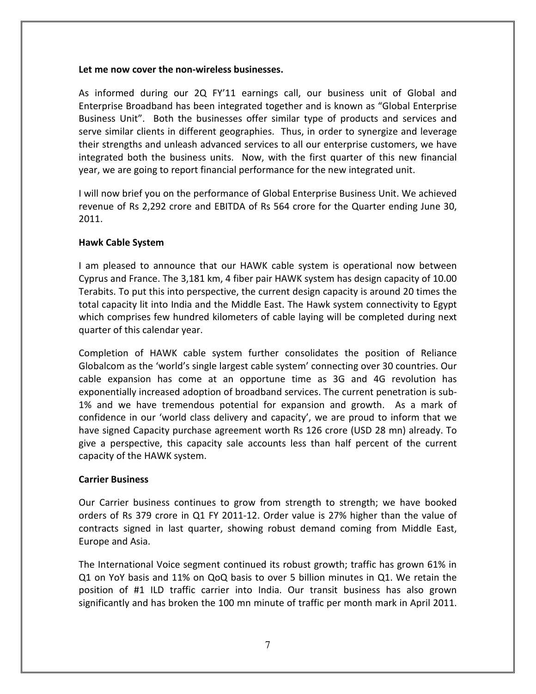#### Let me now cover the non-wireless businesses.

As informed during our 2Q FY'11 earnings call, our business unit of Global and Enterprise Broadband has been integrated together and is known as "Global Enterprise Business Unit". Both the businesses offer similar type of products and services and serve similar clients in different geographies. Thus, in order to synergize and leverage their strengths and unleash advanced services to all our enterprise customers, we have integrated both the business units. Now, with the first quarter of this new financial year, we are going to report financial performance for the new integrated unit.

I will now brief you on the performance of Global Enterprise Business Unit. We achieved revenue of Rs 2,292 crore and EBITDA of Rs 564 crore for the Quarter ending June 30, 2011.

## Hawk Cable System

I am pleased to announce that our HAWK cable system is operational now between Cyprus and France. The 3,181 km, 4 fiber pair HAWK system has design capacity of 10.00 Terabits. To put this into perspective, the current design capacity is around 20 times the total capacity lit into India and the Middle East. The Hawk system connectivity to Egypt which comprises few hundred kilometers of cable laying will be completed during next quarter of this calendar year.

Completion of HAWK cable system further consolidates the position of Reliance Globalcom as the 'world's single largest cable system' connecting over 30 countries. Our cable expansion has come at an opportune time as 3G and 4G revolution has exponentially increased adoption of broadband services. The current penetration is sub-1% and we have tremendous potential for expansion and growth. As a mark of confidence in our 'world class delivery and capacity', we are proud to inform that we have signed Capacity purchase agreement worth Rs 126 crore (USD 28 mn) already. To give a perspective, this capacity sale accounts less than half percent of the current capacity of the HAWK system.

# Carrier Business

Our Carrier business continues to grow from strength to strength; we have booked orders of Rs 379 crore in Q1 FY 2011-12. Order value is 27% higher than the value of contracts signed in last quarter, showing robust demand coming from Middle East, Europe and Asia.

The International Voice segment continued its robust growth; traffic has grown 61% in Q1 on YoY basis and 11% on QoQ basis to over 5 billion minutes in Q1. We retain the position of #1 ILD traffic carrier into India. Our transit business has also grown significantly and has broken the 100 mn minute of traffic per month mark in April 2011.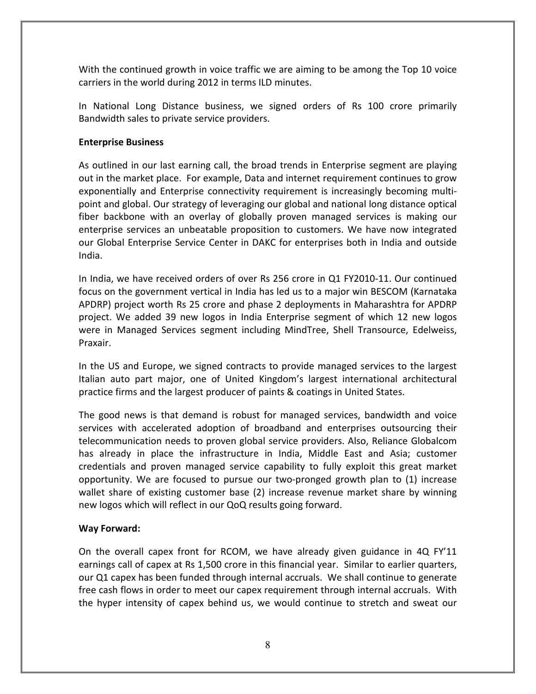With the continued growth in voice traffic we are aiming to be among the Top 10 voice carriers in the world during 2012 in terms ILD minutes.

In National Long Distance business, we signed orders of Rs 100 crore primarily Bandwidth sales to private service providers.

# Enterprise Business

As outlined in our last earning call, the broad trends in Enterprise segment are playing out in the market place. For example, Data and internet requirement continues to grow exponentially and Enterprise connectivity requirement is increasingly becoming multipoint and global. Our strategy of leveraging our global and national long distance optical fiber backbone with an overlay of globally proven managed services is making our enterprise services an unbeatable proposition to customers. We have now integrated our Global Enterprise Service Center in DAKC for enterprises both in India and outside India.

In India, we have received orders of over Rs 256 crore in Q1 FY2010-11. Our continued focus on the government vertical in India has led us to a major win BESCOM (Karnataka APDRP) project worth Rs 25 crore and phase 2 deployments in Maharashtra for APDRP project. We added 39 new logos in India Enterprise segment of which 12 new logos were in Managed Services segment including MindTree, Shell Transource, Edelweiss, Praxair.

In the US and Europe, we signed contracts to provide managed services to the largest Italian auto part major, one of United Kingdom's largest international architectural practice firms and the largest producer of paints & coatings in United States.

The good news is that demand is robust for managed services, bandwidth and voice services with accelerated adoption of broadband and enterprises outsourcing their telecommunication needs to proven global service providers. Also, Reliance Globalcom has already in place the infrastructure in India, Middle East and Asia; customer credentials and proven managed service capability to fully exploit this great market opportunity. We are focused to pursue our two-pronged growth plan to (1) increase wallet share of existing customer base (2) increase revenue market share by winning new logos which will reflect in our QoQ results going forward.

# Way Forward:

On the overall capex front for RCOM, we have already given guidance in 4Q FY'11 earnings call of capex at Rs 1,500 crore in this financial year. Similar to earlier quarters, our Q1 capex has been funded through internal accruals. We shall continue to generate free cash flows in order to meet our capex requirement through internal accruals. With the hyper intensity of capex behind us, we would continue to stretch and sweat our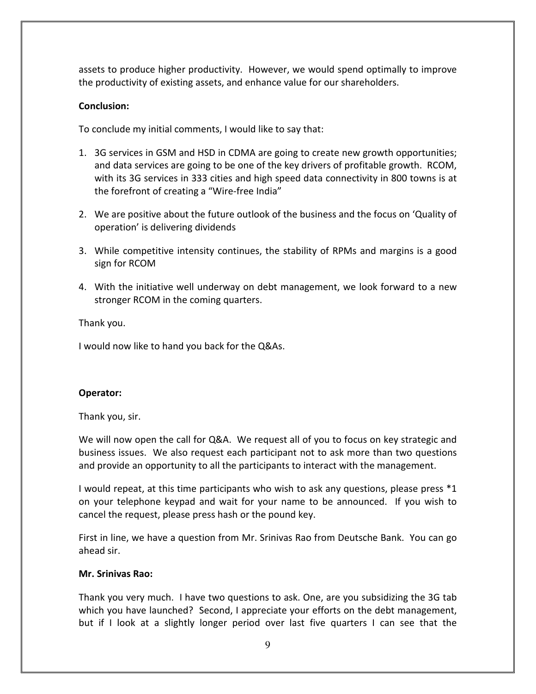assets to produce higher productivity. However, we would spend optimally to improve the productivity of existing assets, and enhance value for our shareholders.

## Conclusion:

To conclude my initial comments, I would like to say that:

- 1. 3G services in GSM and HSD in CDMA are going to create new growth opportunities; and data services are going to be one of the key drivers of profitable growth. RCOM, with its 3G services in 333 cities and high speed data connectivity in 800 towns is at the forefront of creating a "Wire-free India"
- 2. We are positive about the future outlook of the business and the focus on 'Quality of operation' is delivering dividends
- 3. While competitive intensity continues, the stability of RPMs and margins is a good sign for RCOM
- 4. With the initiative well underway on debt management, we look forward to a new stronger RCOM in the coming quarters.

Thank you.

I would now like to hand you back for the Q&As.

#### Operator:

Thank you, sir.

We will now open the call for Q&A. We request all of you to focus on key strategic and business issues. We also request each participant not to ask more than two questions and provide an opportunity to all the participants to interact with the management.

I would repeat, at this time participants who wish to ask any questions, please press \*1 on your telephone keypad and wait for your name to be announced. If you wish to cancel the request, please press hash or the pound key.

First in line, we have a question from Mr. Srinivas Rao from Deutsche Bank. You can go ahead sir.

#### Mr. Srinivas Rao:

Thank you very much. I have two questions to ask. One, are you subsidizing the 3G tab which you have launched? Second, I appreciate your efforts on the debt management, but if I look at a slightly longer period over last five quarters I can see that the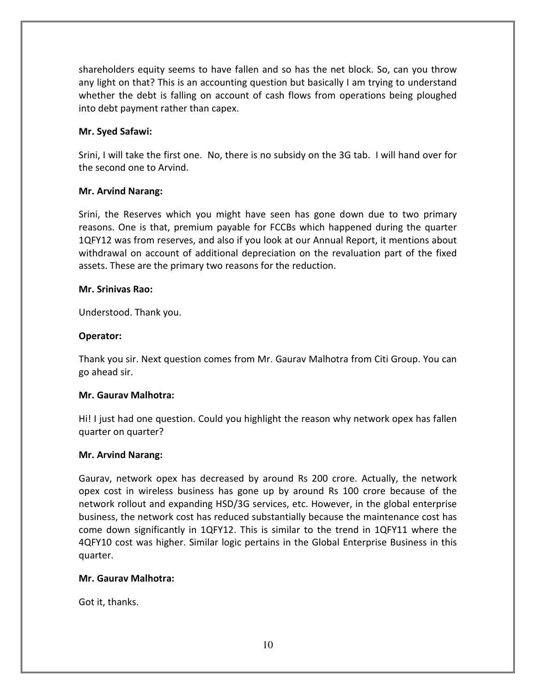shareholders equity seems to have fallen and so has the net block. So, can you throw any light on that? This is an accounting question but basically I am trying to understand whether the debt is falling on account of cash flows from operations being ploughed into debt payment rather than capex.

#### Mr. Syed Safawi:

Srini, I will take the first one. No, there is no subsidy on the 3G tab. I will hand over for the second one to Arvind.

#### Mr. Arvind Narang:

Srini, the Reserves which you might have seen has gone down due to two primary reasons. One is that, premium payable for FCCBs which happened during the quarter 1QFY12 was from reserves, and also if you look at our Annual Report, it mentions about withdrawal on account of additional depreciation on the revaluation part of the fixed assets. These are the primary two reasons for the reduction.

#### Mr. Srinivas Rao:

Understood. Thank you.

#### Operator:

Thank you sir. Next question comes from Mr. Gaurav Malhotra from Citi Group. You can go ahead sir.

#### Mr. Gaurav Malhotra:

Hi! I just had one question. Could you highlight the reason why network opex has fallen quarter on quarter?

#### Mr. Arvind Narang:

Gaurav, network opex has decreased by around Rs 200 crore. Actually, the network opex cost in wireless business has gone up by around Rs 100 crore because of the network rollout and expanding HSD/3G services, etc. However, in the global enterprise business, the network cost has reduced substantially because the maintenance cost has come down significantly in 1QFY12. This is similar to the trend in 1QFY11 where the 4QFY10 cost was higher. Similar logic pertains in the Global Enterprise Business in this quarter.

#### Mr. Gaurav Malhotra:

Got it, thanks.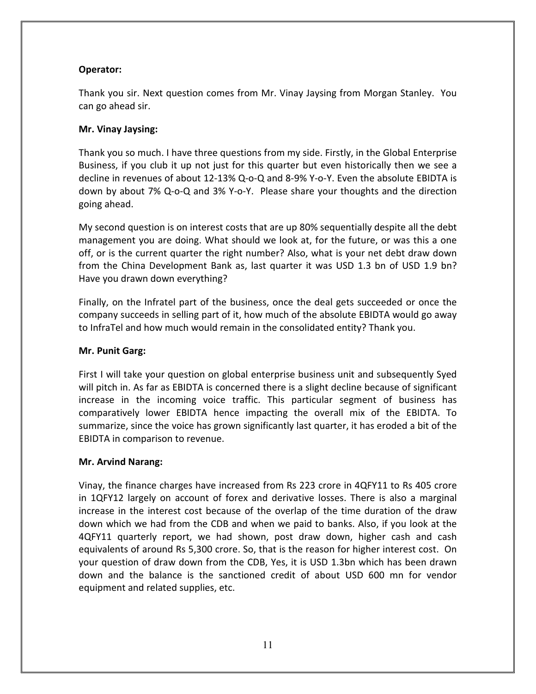# Operator:

Thank you sir. Next question comes from Mr. Vinay Jaysing from Morgan Stanley. You can go ahead sir.

# Mr. Vinay Jaysing:

Thank you so much. I have three questions from my side. Firstly, in the Global Enterprise Business, if you club it up not just for this quarter but even historically then we see a decline in revenues of about 12-13% Q-o-Q and 8-9% Y-o-Y. Even the absolute EBIDTA is down by about 7% Q-o-Q and 3% Y-o-Y. Please share your thoughts and the direction going ahead.

My second question is on interest costs that are up 80% sequentially despite all the debt management you are doing. What should we look at, for the future, or was this a one off, or is the current quarter the right number? Also, what is your net debt draw down from the China Development Bank as, last quarter it was USD 1.3 bn of USD 1.9 bn? Have you drawn down everything?

Finally, on the Infratel part of the business, once the deal gets succeeded or once the company succeeds in selling part of it, how much of the absolute EBIDTA would go away to InfraTel and how much would remain in the consolidated entity? Thank you.

# Mr. Punit Garg:

First I will take your question on global enterprise business unit and subsequently Syed will pitch in. As far as EBIDTA is concerned there is a slight decline because of significant increase in the incoming voice traffic. This particular segment of business has comparatively lower EBIDTA hence impacting the overall mix of the EBIDTA. To summarize, since the voice has grown significantly last quarter, it has eroded a bit of the EBIDTA in comparison to revenue.

# Mr. Arvind Narang:

Vinay, the finance charges have increased from Rs 223 crore in 4QFY11 to Rs 405 crore in 1QFY12 largely on account of forex and derivative losses. There is also a marginal increase in the interest cost because of the overlap of the time duration of the draw down which we had from the CDB and when we paid to banks. Also, if you look at the 4QFY11 quarterly report, we had shown, post draw down, higher cash and cash equivalents of around Rs 5,300 crore. So, that is the reason for higher interest cost. On your question of draw down from the CDB, Yes, it is USD 1.3bn which has been drawn down and the balance is the sanctioned credit of about USD 600 mn for vendor equipment and related supplies, etc.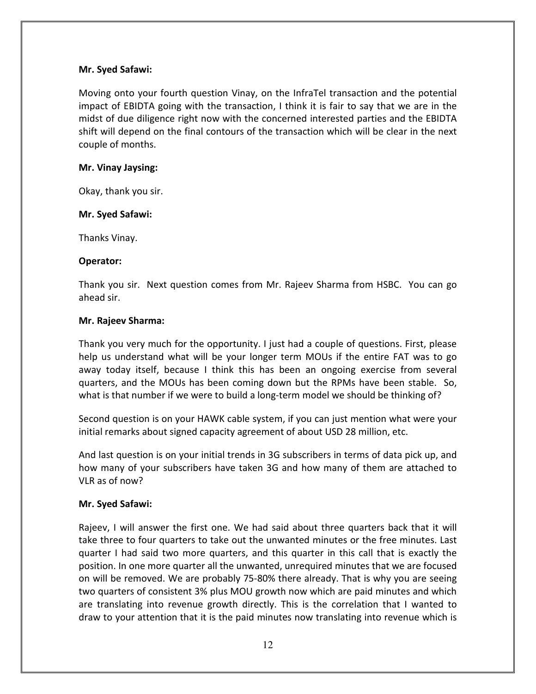#### Mr. Syed Safawi:

Moving onto your fourth question Vinay, on the InfraTel transaction and the potential impact of EBIDTA going with the transaction, I think it is fair to say that we are in the midst of due diligence right now with the concerned interested parties and the EBIDTA shift will depend on the final contours of the transaction which will be clear in the next couple of months.

#### Mr. Vinay Jaysing:

Okay, thank you sir.

## Mr. Syed Safawi:

Thanks Vinay.

#### Operator:

Thank you sir. Next question comes from Mr. Rajeev Sharma from HSBC. You can go ahead sir.

## Mr. Rajeev Sharma:

Thank you very much for the opportunity. I just had a couple of questions. First, please help us understand what will be your longer term MOUs if the entire FAT was to go away today itself, because I think this has been an ongoing exercise from several quarters, and the MOUs has been coming down but the RPMs have been stable. So, what is that number if we were to build a long-term model we should be thinking of?

Second question is on your HAWK cable system, if you can just mention what were your initial remarks about signed capacity agreement of about USD 28 million, etc.

And last question is on your initial trends in 3G subscribers in terms of data pick up, and how many of your subscribers have taken 3G and how many of them are attached to VLR as of now?

# Mr. Syed Safawi:

Rajeev, I will answer the first one. We had said about three quarters back that it will take three to four quarters to take out the unwanted minutes or the free minutes. Last quarter I had said two more quarters, and this quarter in this call that is exactly the position. In one more quarter all the unwanted, unrequired minutes that we are focused on will be removed. We are probably 75-80% there already. That is why you are seeing two quarters of consistent 3% plus MOU growth now which are paid minutes and which are translating into revenue growth directly. This is the correlation that I wanted to draw to your attention that it is the paid minutes now translating into revenue which is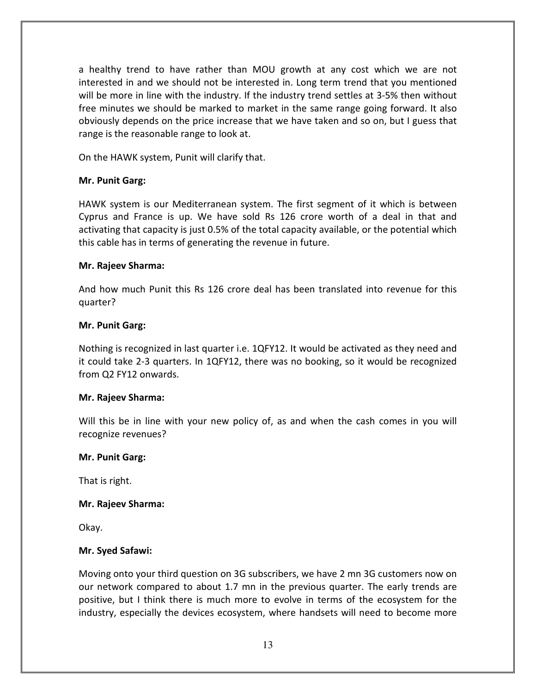a healthy trend to have rather than MOU growth at any cost which we are not interested in and we should not be interested in. Long term trend that you mentioned will be more in line with the industry. If the industry trend settles at 3-5% then without free minutes we should be marked to market in the same range going forward. It also obviously depends on the price increase that we have taken and so on, but I guess that range is the reasonable range to look at.

On the HAWK system, Punit will clarify that.

## Mr. Punit Garg:

HAWK system is our Mediterranean system. The first segment of it which is between Cyprus and France is up. We have sold Rs 126 crore worth of a deal in that and activating that capacity is just 0.5% of the total capacity available, or the potential which this cable has in terms of generating the revenue in future.

#### Mr. Rajeev Sharma:

And how much Punit this Rs 126 crore deal has been translated into revenue for this quarter?

#### Mr. Punit Garg:

Nothing is recognized in last quarter i.e. 1QFY12. It would be activated as they need and it could take 2-3 quarters. In 1QFY12, there was no booking, so it would be recognized from Q2 FY12 onwards.

#### Mr. Rajeev Sharma:

Will this be in line with your new policy of, as and when the cash comes in you will recognize revenues?

#### Mr. Punit Garg:

That is right.

#### Mr. Rajeev Sharma:

Okay.

#### Mr. Syed Safawi:

Moving onto your third question on 3G subscribers, we have 2 mn 3G customers now on our network compared to about 1.7 mn in the previous quarter. The early trends are positive, but I think there is much more to evolve in terms of the ecosystem for the industry, especially the devices ecosystem, where handsets will need to become more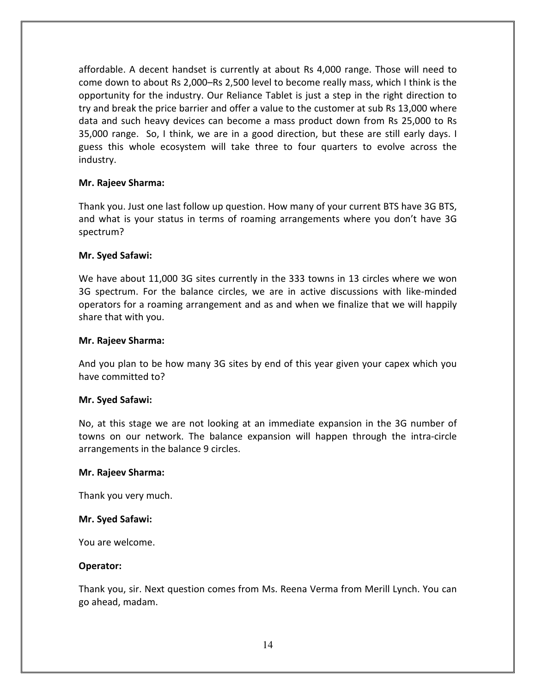affordable. A decent handset is currently at about Rs 4,000 range. Those will need to come down to about Rs 2,000–Rs 2,500 level to become really mass, which I think is the opportunity for the industry. Our Reliance Tablet is just a step in the right direction to try and break the price barrier and offer a value to the customer at sub Rs 13,000 where data and such heavy devices can become a mass product down from Rs 25,000 to Rs 35,000 range. So, I think, we are in a good direction, but these are still early days. I guess this whole ecosystem will take three to four quarters to evolve across the industry.

#### Mr. Rajeev Sharma:

Thank you. Just one last follow up question. How many of your current BTS have 3G BTS, and what is your status in terms of roaming arrangements where you don't have 3G spectrum?

## Mr. Syed Safawi:

We have about 11,000 3G sites currently in the 333 towns in 13 circles where we won 3G spectrum. For the balance circles, we are in active discussions with like-minded operators for a roaming arrangement and as and when we finalize that we will happily share that with you.

#### Mr. Rajeev Sharma:

And you plan to be how many 3G sites by end of this year given your capex which you have committed to?

#### Mr. Syed Safawi:

No, at this stage we are not looking at an immediate expansion in the 3G number of towns on our network. The balance expansion will happen through the intra-circle arrangements in the balance 9 circles.

#### Mr. Rajeev Sharma:

Thank you very much.

#### Mr. Syed Safawi:

You are welcome.

#### Operator:

Thank you, sir. Next question comes from Ms. Reena Verma from Merill Lynch. You can go ahead, madam.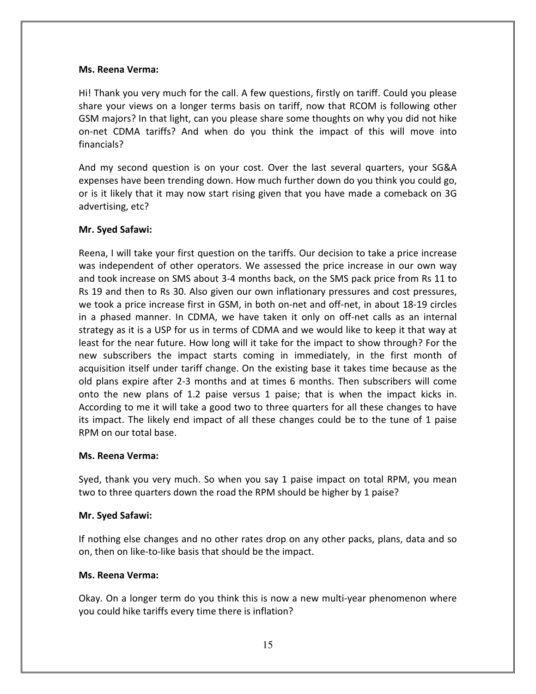#### Ms. Reena Verma:

Hi! Thank you very much for the call. A few questions, firstly on tariff. Could you please share your views on a longer terms basis on tariff, now that RCOM is following other GSM majors? In that light, can you please share some thoughts on why you did not hike on-net CDMA tariffs? And when do you think the impact of this will move into financials?

And my second question is on your cost. Over the last several quarters, your SG&A expenses have been trending down. How much further down do you think you could go, or is it likely that it may now start rising given that you have made a comeback on 3G advertising, etc?

## Mr. Syed Safawi:

Reena, I will take your first question on the tariffs. Our decision to take a price increase was independent of other operators. We assessed the price increase in our own way and took increase on SMS about 3-4 months back, on the SMS pack price from Rs 11 to Rs 19 and then to Rs 30. Also given our own inflationary pressures and cost pressures, we took a price increase first in GSM, in both on-net and off-net, in about 18-19 circles in a phased manner. In CDMA, we have taken it only on off-net calls as an internal strategy as it is a USP for us in terms of CDMA and we would like to keep it that way at least for the near future. How long will it take for the impact to show through? For the new subscribers the impact starts coming in immediately, in the first month of acquisition itself under tariff change. On the existing base it takes time because as the old plans expire after 2-3 months and at times 6 months. Then subscribers will come onto the new plans of 1.2 paise versus 1 paise; that is when the impact kicks in. According to me it will take a good two to three quarters for all these changes to have its impact. The likely end impact of all these changes could be to the tune of 1 paise RPM on our total base.

#### Ms. Reena Verma:

Syed, thank you very much. So when you say 1 paise impact on total RPM, you mean two to three quarters down the road the RPM should be higher by 1 paise?

#### Mr. Syed Safawi:

If nothing else changes and no other rates drop on any other packs, plans, data and so on, then on like-to-like basis that should be the impact.

#### Ms. Reena Verma:

Okay. On a longer term do you think this is now a new multi-year phenomenon where you could hike tariffs every time there is inflation?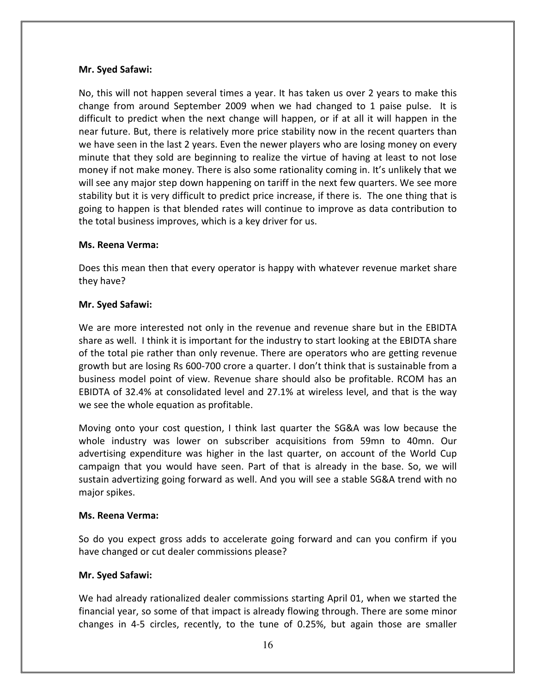## Mr. Syed Safawi:

No, this will not happen several times a year. It has taken us over 2 years to make this change from around September 2009 when we had changed to 1 paise pulse. It is difficult to predict when the next change will happen, or if at all it will happen in the near future. But, there is relatively more price stability now in the recent quarters than we have seen in the last 2 years. Even the newer players who are losing money on every minute that they sold are beginning to realize the virtue of having at least to not lose money if not make money. There is also some rationality coming in. It's unlikely that we will see any major step down happening on tariff in the next few quarters. We see more stability but it is very difficult to predict price increase, if there is. The one thing that is going to happen is that blended rates will continue to improve as data contribution to the total business improves, which is a key driver for us.

## Ms. Reena Verma:

Does this mean then that every operator is happy with whatever revenue market share they have?

## Mr. Syed Safawi:

We are more interested not only in the revenue and revenue share but in the EBIDTA share as well. I think it is important for the industry to start looking at the EBIDTA share of the total pie rather than only revenue. There are operators who are getting revenue growth but are losing Rs 600-700 crore a quarter. I don't think that is sustainable from a business model point of view. Revenue share should also be profitable. RCOM has an EBIDTA of 32.4% at consolidated level and 27.1% at wireless level, and that is the way we see the whole equation as profitable.

Moving onto your cost question, I think last quarter the SG&A was low because the whole industry was lower on subscriber acquisitions from 59mn to 40mn. Our advertising expenditure was higher in the last quarter, on account of the World Cup campaign that you would have seen. Part of that is already in the base. So, we will sustain advertizing going forward as well. And you will see a stable SG&A trend with no major spikes.

# Ms. Reena Verma:

So do you expect gross adds to accelerate going forward and can you confirm if you have changed or cut dealer commissions please?

# Mr. Syed Safawi:

We had already rationalized dealer commissions starting April 01, when we started the financial year, so some of that impact is already flowing through. There are some minor changes in 4-5 circles, recently, to the tune of 0.25%, but again those are smaller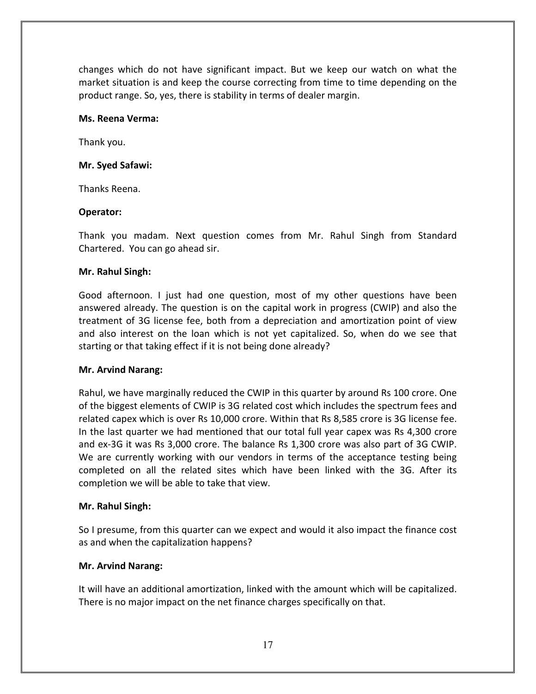changes which do not have significant impact. But we keep our watch on what the market situation is and keep the course correcting from time to time depending on the product range. So, yes, there is stability in terms of dealer margin.

#### Ms. Reena Verma:

Thank you.

#### Mr. Syed Safawi:

Thanks Reena.

#### Operator:

Thank you madam. Next question comes from Mr. Rahul Singh from Standard Chartered. You can go ahead sir.

#### Mr. Rahul Singh:

Good afternoon. I just had one question, most of my other questions have been answered already. The question is on the capital work in progress (CWIP) and also the treatment of 3G license fee, both from a depreciation and amortization point of view and also interest on the loan which is not yet capitalized. So, when do we see that starting or that taking effect if it is not being done already?

#### Mr. Arvind Narang:

Rahul, we have marginally reduced the CWIP in this quarter by around Rs 100 crore. One of the biggest elements of CWIP is 3G related cost which includes the spectrum fees and related capex which is over Rs 10,000 crore. Within that Rs 8,585 crore is 3G license fee. In the last quarter we had mentioned that our total full year capex was Rs 4,300 crore and ex-3G it was Rs 3,000 crore. The balance Rs 1,300 crore was also part of 3G CWIP. We are currently working with our vendors in terms of the acceptance testing being completed on all the related sites which have been linked with the 3G. After its completion we will be able to take that view.

#### Mr. Rahul Singh:

So I presume, from this quarter can we expect and would it also impact the finance cost as and when the capitalization happens?

#### Mr. Arvind Narang:

It will have an additional amortization, linked with the amount which will be capitalized. There is no major impact on the net finance charges specifically on that.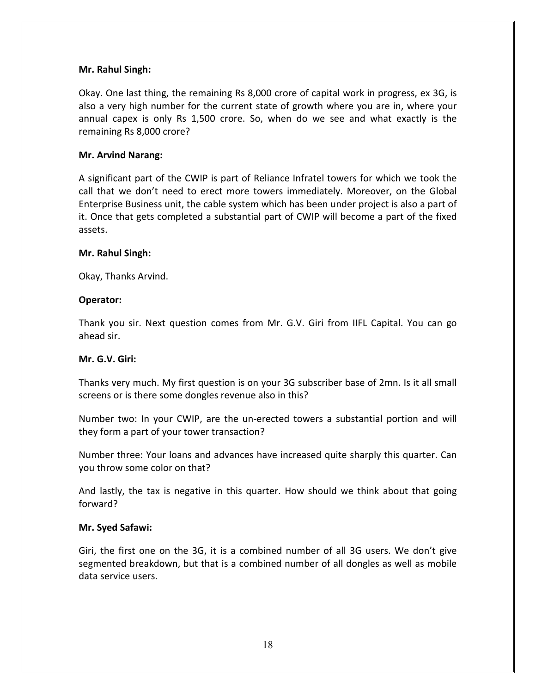#### Mr. Rahul Singh:

Okay. One last thing, the remaining Rs 8,000 crore of capital work in progress, ex 3G, is also a very high number for the current state of growth where you are in, where your annual capex is only Rs 1,500 crore. So, when do we see and what exactly is the remaining Rs 8,000 crore?

## Mr. Arvind Narang:

A significant part of the CWIP is part of Reliance Infratel towers for which we took the call that we don't need to erect more towers immediately. Moreover, on the Global Enterprise Business unit, the cable system which has been under project is also a part of it. Once that gets completed a substantial part of CWIP will become a part of the fixed assets.

#### Mr. Rahul Singh:

Okay, Thanks Arvind.

#### Operator:

Thank you sir. Next question comes from Mr. G.V. Giri from IIFL Capital. You can go ahead sir.

#### Mr. G.V. Giri:

Thanks very much. My first question is on your 3G subscriber base of 2mn. Is it all small screens or is there some dongles revenue also in this?

Number two: In your CWIP, are the un-erected towers a substantial portion and will they form a part of your tower transaction?

Number three: Your loans and advances have increased quite sharply this quarter. Can you throw some color on that?

And lastly, the tax is negative in this quarter. How should we think about that going forward?

#### Mr. Syed Safawi:

Giri, the first one on the 3G, it is a combined number of all 3G users. We don't give segmented breakdown, but that is a combined number of all dongles as well as mobile data service users.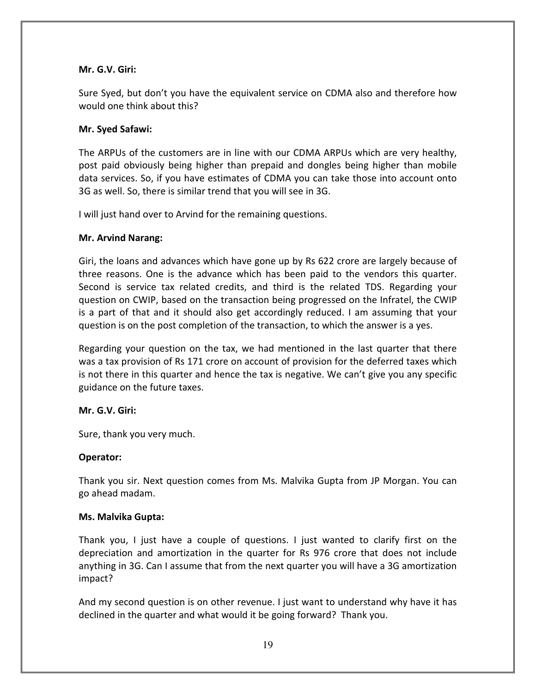#### Mr. G.V. Giri:

Sure Syed, but don't you have the equivalent service on CDMA also and therefore how would one think about this?

#### Mr. Syed Safawi:

The ARPUs of the customers are in line with our CDMA ARPUs which are very healthy, post paid obviously being higher than prepaid and dongles being higher than mobile data services. So, if you have estimates of CDMA you can take those into account onto 3G as well. So, there is similar trend that you will see in 3G.

I will just hand over to Arvind for the remaining questions.

#### Mr. Arvind Narang:

Giri, the loans and advances which have gone up by Rs 622 crore are largely because of three reasons. One is the advance which has been paid to the vendors this quarter. Second is service tax related credits, and third is the related TDS. Regarding your question on CWIP, based on the transaction being progressed on the Infratel, the CWIP is a part of that and it should also get accordingly reduced. I am assuming that your question is on the post completion of the transaction, to which the answer is a yes.

Regarding your question on the tax, we had mentioned in the last quarter that there was a tax provision of Rs 171 crore on account of provision for the deferred taxes which is not there in this quarter and hence the tax is negative. We can't give you any specific guidance on the future taxes.

#### Mr. G.V. Giri:

Sure, thank you very much.

# Operator:

Thank you sir. Next question comes from Ms. Malvika Gupta from JP Morgan. You can go ahead madam.

#### Ms. Malvika Gupta:

Thank you, I just have a couple of questions. I just wanted to clarify first on the depreciation and amortization in the quarter for Rs 976 crore that does not include anything in 3G. Can I assume that from the next quarter you will have a 3G amortization impact?

And my second question is on other revenue. I just want to understand why have it has declined in the quarter and what would it be going forward? Thank you.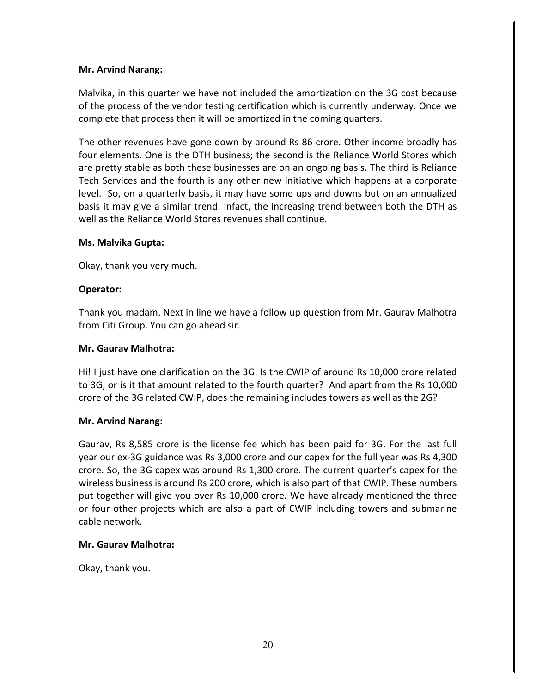## Mr. Arvind Narang:

Malvika, in this quarter we have not included the amortization on the 3G cost because of the process of the vendor testing certification which is currently underway. Once we complete that process then it will be amortized in the coming quarters.

The other revenues have gone down by around Rs 86 crore. Other income broadly has four elements. One is the DTH business; the second is the Reliance World Stores which are pretty stable as both these businesses are on an ongoing basis. The third is Reliance Tech Services and the fourth is any other new initiative which happens at a corporate level. So, on a quarterly basis, it may have some ups and downs but on an annualized basis it may give a similar trend. Infact, the increasing trend between both the DTH as well as the Reliance World Stores revenues shall continue.

#### Ms. Malvika Gupta:

Okay, thank you very much.

## Operator:

Thank you madam. Next in line we have a follow up question from Mr. Gaurav Malhotra from Citi Group. You can go ahead sir.

#### Mr. Gaurav Malhotra:

Hi! I just have one clarification on the 3G. Is the CWIP of around Rs 10,000 crore related to 3G, or is it that amount related to the fourth quarter? And apart from the Rs 10,000 crore of the 3G related CWIP, does the remaining includes towers as well as the 2G?

#### Mr. Arvind Narang:

Gaurav, Rs 8,585 crore is the license fee which has been paid for 3G. For the last full year our ex-3G guidance was Rs 3,000 crore and our capex for the full year was Rs 4,300 crore. So, the 3G capex was around Rs 1,300 crore. The current quarter's capex for the wireless business is around Rs 200 crore, which is also part of that CWIP. These numbers put together will give you over Rs 10,000 crore. We have already mentioned the three or four other projects which are also a part of CWIP including towers and submarine cable network.

#### Mr. Gaurav Malhotra:

Okay, thank you.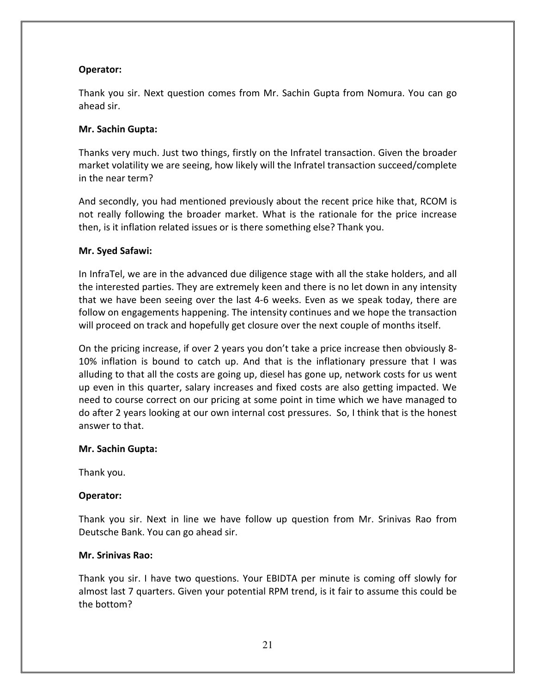## Operator:

Thank you sir. Next question comes from Mr. Sachin Gupta from Nomura. You can go ahead sir.

#### Mr. Sachin Gupta:

Thanks very much. Just two things, firstly on the Infratel transaction. Given the broader market volatility we are seeing, how likely will the Infratel transaction succeed/complete in the near term?

And secondly, you had mentioned previously about the recent price hike that, RCOM is not really following the broader market. What is the rationale for the price increase then, is it inflation related issues or is there something else? Thank you.

## Mr. Syed Safawi:

In InfraTel, we are in the advanced due diligence stage with all the stake holders, and all the interested parties. They are extremely keen and there is no let down in any intensity that we have been seeing over the last 4-6 weeks. Even as we speak today, there are follow on engagements happening. The intensity continues and we hope the transaction will proceed on track and hopefully get closure over the next couple of months itself.

On the pricing increase, if over 2 years you don't take a price increase then obviously 8- 10% inflation is bound to catch up. And that is the inflationary pressure that I was alluding to that all the costs are going up, diesel has gone up, network costs for us went up even in this quarter, salary increases and fixed costs are also getting impacted. We need to course correct on our pricing at some point in time which we have managed to do after 2 years looking at our own internal cost pressures. So, I think that is the honest answer to that.

#### Mr. Sachin Gupta:

Thank you.

#### Operator:

Thank you sir. Next in line we have follow up question from Mr. Srinivas Rao from Deutsche Bank. You can go ahead sir.

#### Mr. Srinivas Rao:

Thank you sir. I have two questions. Your EBIDTA per minute is coming off slowly for almost last 7 quarters. Given your potential RPM trend, is it fair to assume this could be the bottom?